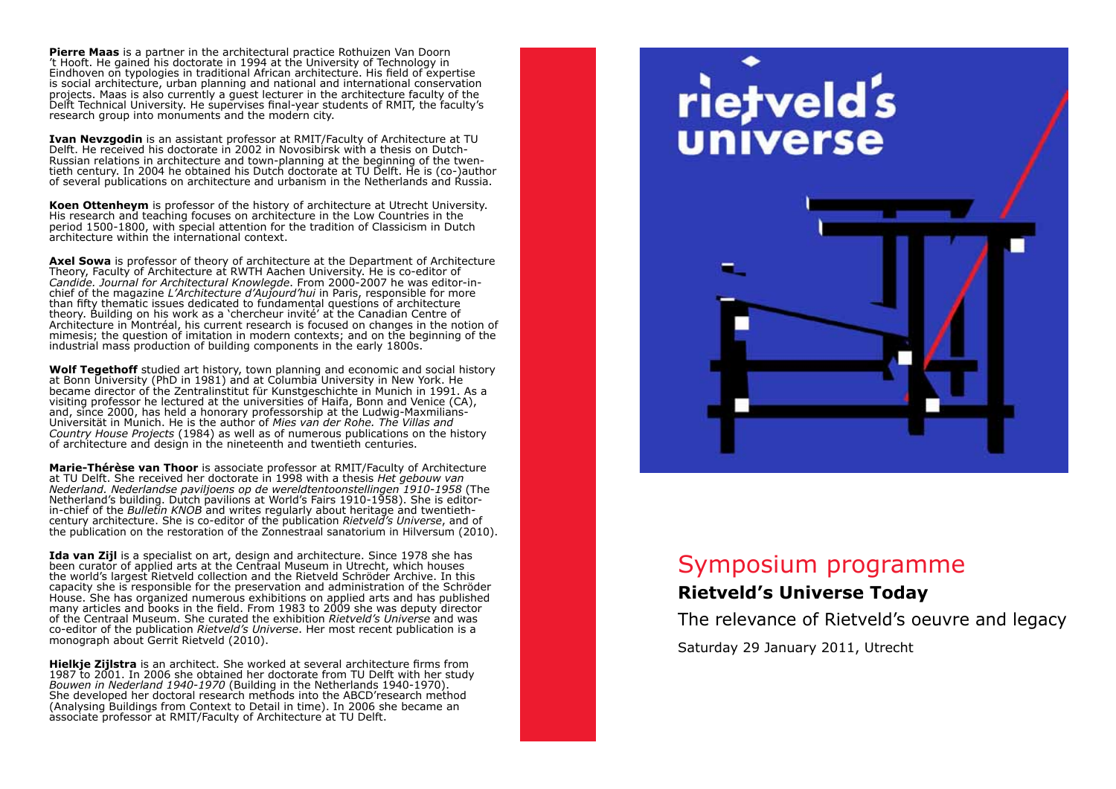**Pierre Maas** is a partner in the architectural practice Rothuizen Van Doorn 't Hooft. He gained his doctorate in 1994 at the University of Technology in Eindhoven on typologies in traditional African architecture. His field of expertise is social architecture, urban planning and national and international conservation projects. Maas is also currently a guest lecturer in the architecture faculty of the Delft Technical University. He supervises final-year students of RMIT, the faculty's research group into monuments and the modern city.

**Ivan Nevzgodin** is an assistant professor at RMIT/Faculty of Architecture at TU Delft. He received his doctorate in 2002 in Novosibirsk with a thesis on Dutch-Russian relations in architecture and town-planning at the beginning of the twentieth century. In 2004 he obtained his Dutch doctorate at TU Delft. He is (co-)author of several publications on architecture and urbanism in the Netherlands and Russia.

**Koen Ottenheym** is professor of the history of architecture at Utrecht University. His research and teaching focuses on architecture in the Low Countries in the period 1500-1800, with special attention for the tradition of Classicism in Dutch architecture within the international context.

**Axel Sowa** is professor of theory of architecture at the Department of Architecture Theory, Faculty of Architecture at RWTH Aachen University. He is co-editor of *Candide. Journal for Architectural Knowlegde*. From 2000-2007 he was editor-inchief of the magazine *L'Architecture d'Aujourd'hui* in Paris, responsible for more than fifty thematic issues dedicated to fundamental questions of architecture theory. Building on his work as a 'chercheur invité' at the Canadian Centre of Architecture in Montréal, his current research is focused on changes in the notion of mimesis; the question of imitation in modern contexts; and on the beginning of the industrial mass production of building components in the early 1800s.

**Wolf Tegethoff** studied art history, town planning and economic and social history at Bonn University (PhD in 1981) and at Columbia University in New York. He became director of the Zentralinstitut für Kunstgeschichte in Munich in 1991. As a visiting professor he lectured at the universities of Haifa, Bonn and Venice (CA), and, since 2000, has held a honorary professorship at the Ludwig-Maxmilians-Universität in Munich. He is the author of *Mies van der Rohe. The Villas and Country House Projects* (1984) as well as of numerous publications on the history of architecture and design in the nineteenth and twentieth centuries.

**Marie-Thérèse van Thoor** is associate professor at RMIT/Faculty of Architecture at TU Delft. She received her doctorate in 1998 with a thesis *Het gebouw van Nederland. Nederlandse paviljoens op de wereldtentoonstellingen 1910-1958* (The Netherland's building. Dutch pavilions at World's Fairs 1910-1958). She is editorin-chief of the *Bulletin KNOB* and writes regularly about heritage and twentieth-century architecture. She is co-editor of the publication *Rietveld's Universe*, and of the publication on the restoration of the Zonnestraal sanatorium in Hilversum (2010).

**Ida van Zijl** is a specialist on art, design and architecture. Since 1978 she has been curator of applied arts at the Centraal Museum in Utrecht, which houses the world's largest Rietveld collection and the Rietveld Schröder Archive. In this capacity she is responsible for the preservation and administration of the Schröder House. She has organized numerous exhibitions on applied arts and has published many articles and books in the field. From 1983 to 2009 she was deputy director of the Centraal Museum. She curated the exhibition *Rietveld's Universe* and was co-editor of the publication *Rietveld's Universe*. Her most recent publication is a monograph about Gerrit Rietveld (2010).

**Hielkje Zijlstra** is an architect. She worked at several architecture firms from 1987 to 2001. In 2006 she obtained her doctorate from TU Delft with her study *Bouwen in Nederland 1940-1970* (Building in the Netherlands 1940-1970). She developed her doctoral research methods into the ABCD'research method (Analysing Buildings from Context to Detail in time). In 2006 she became an associate professor at RMIT/Faculty of Architecture at TU Delft.

# rietveld's universe

# Symposium programme

# **Rietveld's Universe Today**

The relevance of Rietveld's oeuvre and legacy

Saturday 29 January 2011, Utrecht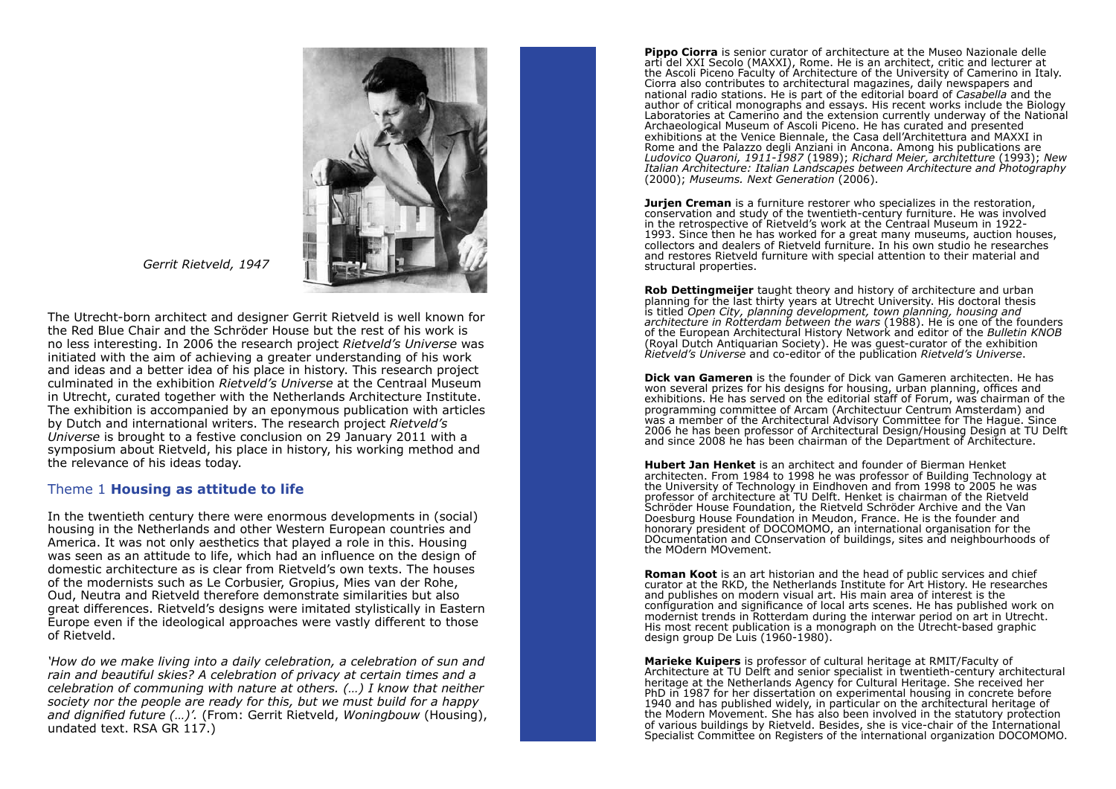

 *Gerrit Rietveld, 1947*

The Utrecht-born architect and designer Gerrit Rietveld is well known for the Red Blue Chair and the Schröder House but the rest of his work is no less interesting. In 2006 the research project *Rietveld's Universe* was initiated with the aim of achieving a greater understanding of his work and ideas and a better idea of his place in history. This research project culminated in the exhibition *Rietveld's Universe* at the Centraal Museum in Utrecht, curated together with the Netherlands Architecture Institute. The exhibition is accompanied by an eponymous publication with articles by Dutch and international writers. The research project *Rietveld's Universe* is brought to a festive conclusion on 29 January 2011 with a symposium about Rietveld, his place in history, his working method and the relevance of his ideas today.

## Theme 1 **Housing as attitude to life**

In the twentieth century there were enormous developments in (social) housing in the Netherlands and other Western European countries and America. It was not only aesthetics that played a role in this. Housing was seen as an attitude to life, which had an influence on the design of domestic architecture as is clear from Rietveld's own texts. The houses of the modernists such as Le Corbusier, Gropius, Mies van der Rohe, Oud, Neutra and Rietveld therefore demonstrate similarities but also great differences. Rietveld's designs were imitated stylistically in Eastern Europe even if the ideological approaches were vastly different to those of Rietveld.

*'How do we make living into a daily celebration, a celebration of sun and rain and beautiful skies? A celebration of privacy at certain times and a celebration of communing with nature at others. (…) I know that neither society nor the people are ready for this, but we must build for a happy and dignified future (…)'.* (From: Gerrit Rietveld, *Woningbouw* (Housing), undated text. RSA GR 117.)

**Pippo Ciorra** is senior curator of architecture at the Museo Nazionale delle arti del XXI Secolo (MAXXI), Rome. He is an architect, critic and lecturer at the Ascoli Piceno Faculty of Architecture of the University of Camerino in Italy. Ciorra also contributes to architectural magazines, daily newspapers and national radio stations. He is part of the editorial board of *Casabella* and the author of critical monographs and essays. His recent works include the Biology Laboratories at Camerino and the extension currently underway of the National Archaeological Museum of Ascoli Piceno. He has curated and presented exhibitions at the Venice Biennale, the Casa dell'Architettura and MAXXI in Rome and the Palazzo degli Anziani in Ancona. Among his publications are *Ludovico Quaroni, 1911-1987* (1989); *Richard Meier, architetture* (1993); *New Italian Architecture: Italian Landscapes between Architecture and Photography* (2000); *Museums. Next Generation* (2006).

**Jurjen Creman** is a furniture restorer who specializes in the restoration, conservation and study of the twentieth-century furniture. He was involved in the retrospective of Rietveld's work at the Centraal Museum in 1922- 1993. Since then he has worked for a great many museums, auction houses, collectors and dealers of Rietveld furniture. In his own studio he researches and restores Rietveld furniture with special attention to their material and structural properties.

**Rob Dettingmeijer** taught theory and history of architecture and urban planning for the last thirty years at Utrecht University. His doctoral thesis is titled *Open City, planning development, town planning, housing and architecture in Rotterdam between the wars* (1988). He is one of the founders of the European Architectural History Network and editor of the *Bulletin KNOB* (Royal Dutch Antiquarian Society). He was guest-curator of the exhibition *Rietveld's Universe* and co-editor of the publication *Rietveld's Universe*.

**Dick van Gameren** is the founder of Dick van Gameren architecten. He has won several prizes for his designs for housing, urban planning, offices and exhibitions. He has served on the editorial staff of Forum, was chairman of the programming committee of Arcam (Architectuur Centrum Amsterdam) and was a member of the Architectural Advisory Committee for The Hague. Since 2006 he has been professor of Architectural Design/Housing Design at TU Delft and since 2008 he has been chairman of the Department of Architecture.

**Hubert Jan Henket** is an architect and founder of Bierman Henket architecten. From 1984 to 1998 he was professor of Building Technology at the University of Technology in Eindhoven and from 1998 to 2005 he was professor of architecture at TU Delft. Henket is chairman of the Rietveld Schröder House Foundation, the Rietveld Schröder Archive and the Van Doesburg House Foundation in Meudon, France. He is the founder and honorary president of DOCOMOMO, an international organisation for the DOcumentation and COnservation of buildings, sites and neighbourhoods of the MOdern MOvement.

**Roman Koot** is an art historian and the head of public services and chief curator at the RKD, the Netherlands Institute for Art History. He researches and publishes on modern visual art. His main area of interest is the configuration and significance of local arts scenes. He has published work on modernist trends in Rotterdam during the interwar period on art in Utrecht. His most recent publication is a monograph on the Utrecht-based graphic design group De Luis (1960-1980).

**Marieke Kuipers** is professor of cultural heritage at RMIT/Faculty of Architecture at TU Delft and senior specialist in twentieth-century architectural heritage at the Netherlands Agency for Cultural Heritage. She received her PhD in 1987 for her dissertation on experimental housing in concrete before 1940 and has published widely, in particular on the architectural heritage of the Modern Movement. She has also been involved in the statutory protection of various buildings by Rietveld. Besides, she is vice-chair of the International Specialist Committee on Registers of the international organization DOCOMOMO.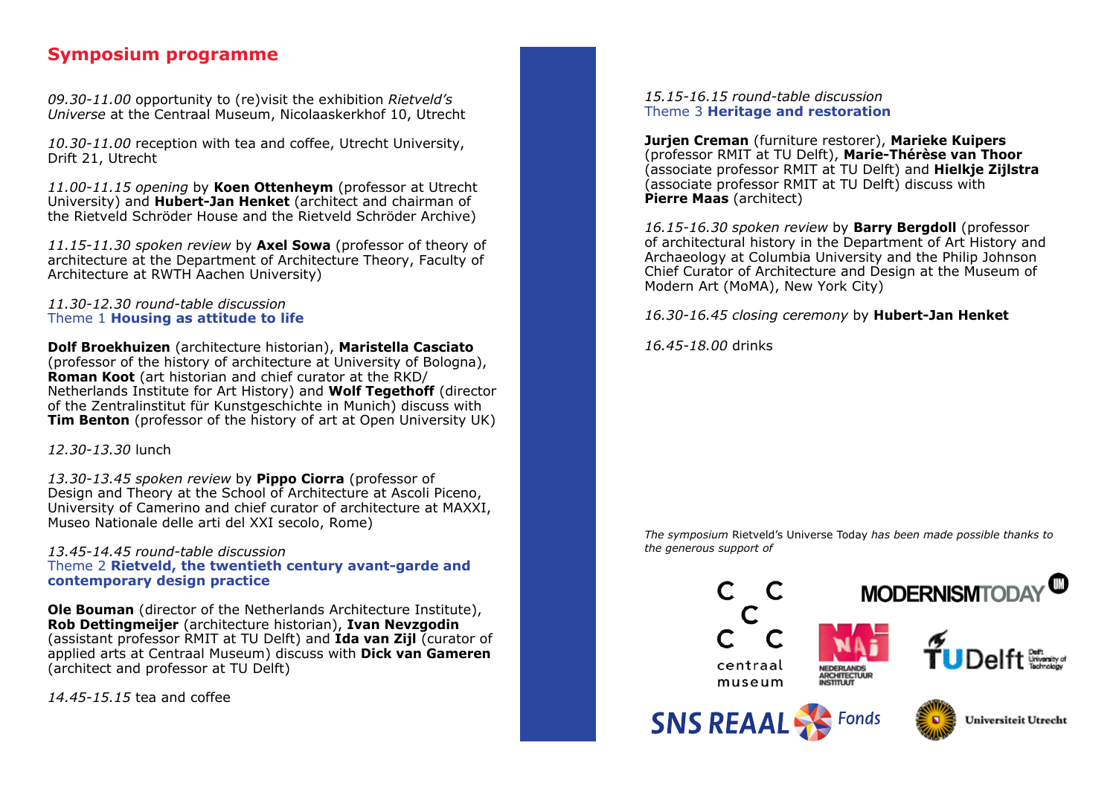# **Symposium programme**

*09.30-11.00* opportunity to (re)visit the exhibition *Rietveld's Universe* at the Centraal Museum, Nicolaaskerkhof 10, Utrecht

*10.30-11.00* reception with tea and coffee, Utrecht University, Drift 21, Utrecht

*11.00-11.15 opening* by **Koen Ottenheym** (professor at Utrecht University) and **Hubert-Jan Henket** (architect and chairman of the Rietveld Schröder House and the Rietveld Schröder Archive)

*11.15-11.30 spoken review* by **Axel Sowa** (professor of theory of architecture at the Department of Architecture Theory, Faculty of Architecture at RWTH Aachen University)

# *11.30-12.30 round-table discussion* Theme 1 **Housing as attitude to life**

**Dolf Broekhuizen** (architecture historian), **Maristella Casciato** (professor of the history of architecture at University of Bologna), **Roman Koot** (art historian and chief curator at the RKD/ Netherlands Institute for Art History) and **Wolf Tegethoff** (director of the Zentralinstitut für Kunstgeschichte in Munich) discuss with **Tim Benton** (professor of the history of art at Open University UK)

*12.30-13.30* lunch

*13.30-13.45 spoken review* by **Pippo Ciorra** (professor of Design and Theory at the School of Architecture at Ascoli Piceno, University of Camerino and chief curator of architecture at MAXXI, Museo Nationale delle arti del XXI secolo, Rome)

# *13.45-14.45 round-table discussion* Theme 2 **Rietveld, the twentieth century avant-garde and contemporary design practice**

**Ole Bouman** (director of the Netherlands Architecture Institute), **Rob Dettingmeijer** (architecture historian), **Ivan Nevzgodin** (assistant professor RMIT at TU Delft) and **Ida van Zijl** (curator of applied arts at Centraal Museum) discuss with **Dick van Gameren** (architect and professor at TU Delft)

*14.45-15.15* tea and coffee

*15.15-16.15 round-table discussion* Theme 3 **Heritage and restoration**

**Jurjen Creman** (furniture restorer), **Marieke Kuipers** (professor RMIT at TU Delft), **Marie-Thérèse van Thoor** (associate professor RMIT at TU Delft) and **Hielkje Zijlstra**  $\hat{f}$ associate professor RMIT at TU Delft) discuss with **Pierre Maas** (architect)

*16.15-16.30 spoken review* by **Barry Bergdoll** (professor of architectural history in the Department of Art History and Archaeology at Columbia University and the Philip Johnson Chief Curator of Architecture and Design at the Museum of Modern Art (MoMA), New York City)

*16.30-16.45 closing ceremony* by **Hubert-Jan Henket**

*16.45-18.00* drinks

*The symposium* Rietveld's Universe Today *has been made possible thanks to the generous support of*